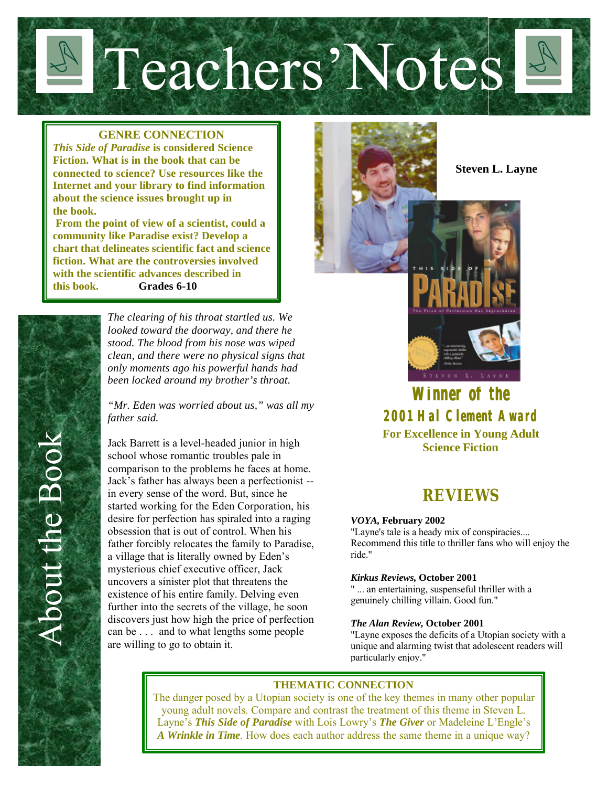Teachers'Notes

#### **GENRE CONNECTION**

*This Side of Paradise* **is considered Science Fiction. What is in the book that can be connected to science? Use resources like the Internet and your library to find information about the science issues brought up in the book.**

 **From the point of view of a scientist, could a community like Paradise exist? Develop a chart that delineates scientific fact and science fiction. What are the controversies involved with the scientific advances described in this book. Grades 6-10**

> *The clearing of his throat startled us. We looked toward the doorway, and there he stood. The blood from his nose was wiped clean, and there were no physical signs that only moments ago his powerful hands had been locked around my brother's throat.*

*"Mr. Eden was worried about us," was all my father said.* 

Jack Barrett is a level-headed junior in high school whose romantic troubles pale in comparison to the problems he faces at home. Jack's father has always been a perfectionist - in every sense of the word. But, since he started working for the Eden Corporation, his desire for perfection has spiraled into a raging obsession that is out of control. When his father forcibly relocates the family to Paradise, a village that is literally owned by Eden's mysterious chief executive officer, Jack uncovers a sinister plot that threatens the existence of his entire family. Delving even further into the secrets of the village, he soon discovers just how high the price of perfection can be . . . and to what lengths some people are willing to go to obtain it.



 **Steven L. Layne**



*Winner of the 2001 Hal Clement Award* **For Excellence in Young Adult Science Fiction**

## **REVIEWS**

#### *VOYA,* **February 2002**

"Layne's tale is a heady mix of conspiracies.... Recommend this title to thriller fans who will enjoy the ride."

#### *Kirkus Reviews,* **October 2001**

" ... an entertaining, suspenseful thriller with a genuinely chilling villain. Good fun."

#### *The Alan Review,* **October 2001**

"Layne exposes the deficits of a Utopian society with a unique and alarming twist that adolescent readers will particularly enjoy."

#### **THEMATIC CONNECTION**

The danger posed by a Utopian society is one of the key themes in many other popular young adult novels. Compare and contrast the treatment of this theme in Steven L. Layne's *This Side of Paradise* with Lois Lowry's *The Giver* or Madeleine L'Engle's *A Wrinkle in Time*. How does each author address the same theme in a unique way?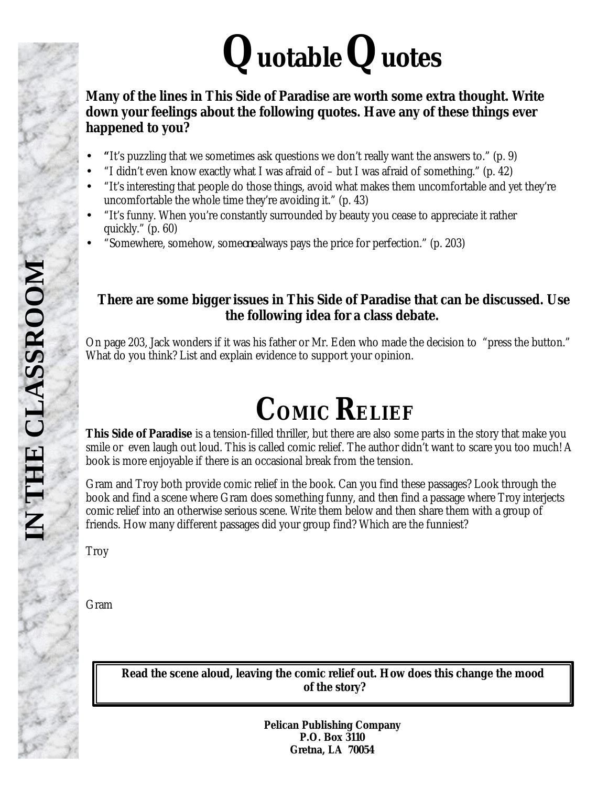# **QuotableQuotes**

### **Many of the lines in** *This Side of Paradise* **are worth some extra thought. Write down your feelings about the following quotes. Have any of these things ever happened to you?**

- **"**It's puzzling that we sometimes ask questions we don't really want the answers to." (p. 9)
- "I didn't even know exactly what I was afraid of but I was afraid of something." (p. 42)
- "It's interesting that people do those things, avoid what makes them uncomfortable and yet they're uncomfortable the whole time they're avoiding it." (p. 43)
- "It's funny. When you're constantly surrounded by beauty you cease to appreciate it rather quickly." (p. 60)
- "Somewhere, somehow, some*one* always pays the price for perfection." (p. 203)

### **There are some bigger issues in** *This Side of Paradise* **that can be discussed. Use the following idea for a class debate.**

On page 203, Jack wonders if it was his father or Mr. Eden who made the decision to "press the button." What do you think? List and explain evidence to support your opinion.

# **COMIC RELIEF**

*This Side of Paradise* is a tension-filled thriller, but there are also some parts in the story that make you smile or even laugh out loud. This is called comic relief. The author didn't want to scare you too much! A book is more enjoyable if there is an occasional break from the tension.

Gram and Troy both provide comic relief in the book. Can you find these passages? Look through the book and find a scene where Gram does something funny, and then find a passage where Troy interjects comic relief into an otherwise serious scene. Write them below and then share them with a group of friends. How many different passages did your group find? Which are the funniest?

Troy

Gram

**Read the scene aloud, leaving the comic relief out. How does this change the mood of the story?**

> **Pelican Publishing Company P.O. Box 3110 Gretna, LA 70054**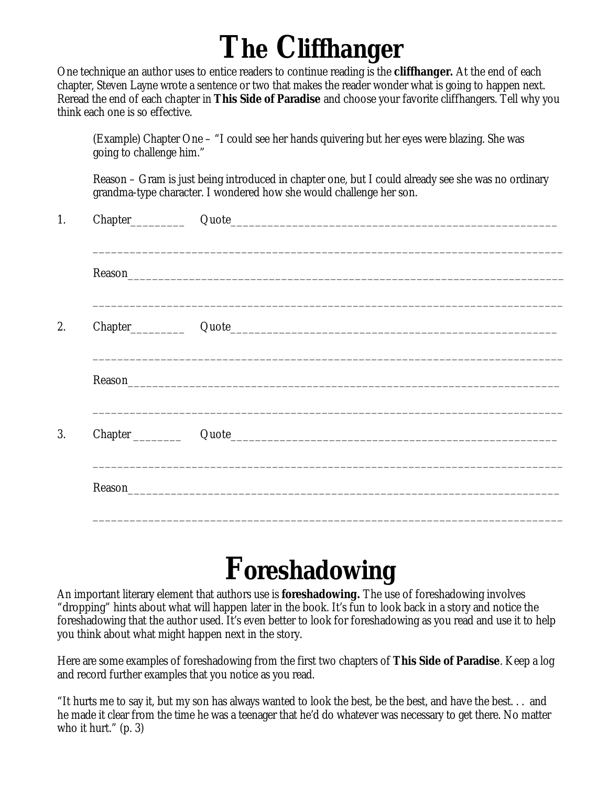# **The Cliffhanger**

One technique an author uses to entice readers to continue reading is the *cliffhanger.* At the end of each chapter, Steven Layne wrote a sentence or two that makes the reader wonder what is going to happen next. Reread the end of each chapter in *This Side of Paradise* and choose your favorite cliffhangers. Tell why you think each one is so effective.

(Example) Chapter One – "I could see her hands quivering but her eyes were blazing. She was going to challenge him."

Reason – Gram is just being introduced in chapter one, but I could already see she was no ordinary grandma-type character. I wondered how she would challenge her son.

| 1. |                                                                                                                       |  |
|----|-----------------------------------------------------------------------------------------------------------------------|--|
|    |                                                                                                                       |  |
|    |                                                                                                                       |  |
|    |                                                                                                                       |  |
| 2. |                                                                                                                       |  |
|    | <u> 1999 - Johann Harry Harry Harry Harry Harry Harry Harry Harry Harry Harry Harry Harry Harry Harry Harry Harry</u> |  |
|    |                                                                                                                       |  |
|    |                                                                                                                       |  |
| 3. |                                                                                                                       |  |
|    |                                                                                                                       |  |
|    |                                                                                                                       |  |

# **Foreshadowing**

An important literary element that authors use is *foreshadowing.* The use of foreshadowing involves "dropping" hints about what will happen later in the book. It's fun to look back in a story and notice the foreshadowing that the author used. It's even better to look for foreshadowing as you read and use it to help you think about what might happen next in the story.

Here are some examples of foreshadowing from the first two chapters of *This Side of Paradise*. Keep a log and record further examples that you notice as you read.

"It hurts me to say it, but my son has always wanted to look the best, be the best, and have the best. . . and he made it clear from the time he was a teenager that he'd do whatever was necessary to get there. No matter who it hurt." (p. 3)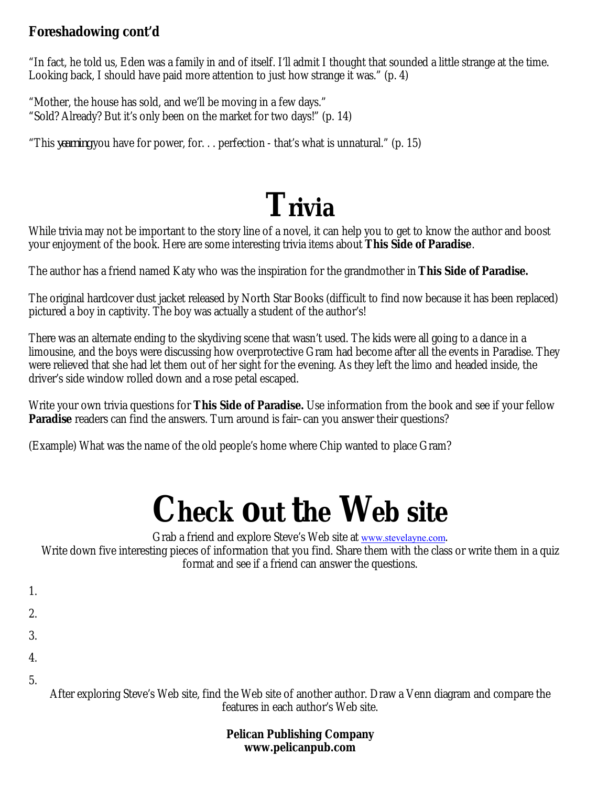### **Foreshadowing cont'd**

"In fact, he told us, Eden was a family in and of itself. I'll admit I thought that sounded a little strange at the time. Looking back, I should have paid more attention to just how strange it was." (p. 4)

"Mother, the house has sold, and we'll be moving in a few days." "Sold? Already? But it's only been on the market for two days!" (p. 14)

"This *yearning* you have for power, for. . . perfection - that's what is unnatural." (p. 15)

# **Trivia**

While trivia may not be important to the story line of a novel, it can help you to get to know the author and boost your enjoyment of the book. Here are some interesting trivia items about *This Side of Paradise*.

The author has a friend named Katy who was the inspiration for the grandmother in *This Side of Paradise.*

The original hardcover dust jacket released by North Star Books (difficult to find now because it has been replaced) pictured a boy in captivity. The boy was actually a student of the author's!

There was an alternate ending to the skydiving scene that wasn't used. The kids were all going to a dance in a limousine, and the boys were discussing how overprotective Gram had become after all the events in Paradise. They were relieved that she had let them out of her sight for the evening. As they left the limo and headed inside, the driver's side window rolled down and a rose petal escaped.

Write your own trivia questions for *This Side of Paradise.* Use information from the book and see if your fellow **Paradise** readers can find the answers. Turn around is fair–can you answer their questions?

(Example) What was the name of the old people's home where Chip wanted to place Gram?

# **Check out the Web site**

Grab a friend and explore Steve's Web site at www.stevelayne.com.

Write down five interesting pieces of information that you find. Share them with the class or write them in a quiz format and see if a friend can answer the questions.

- 1.
- 2.
- 3.
- 
- 4.
- 5.

After exploring Steve's Web site, find the Web site of another author. Draw a Venn diagram and compare the features in each author's Web site.

> **Pelican Publishing Company www.pelicanpub.com**